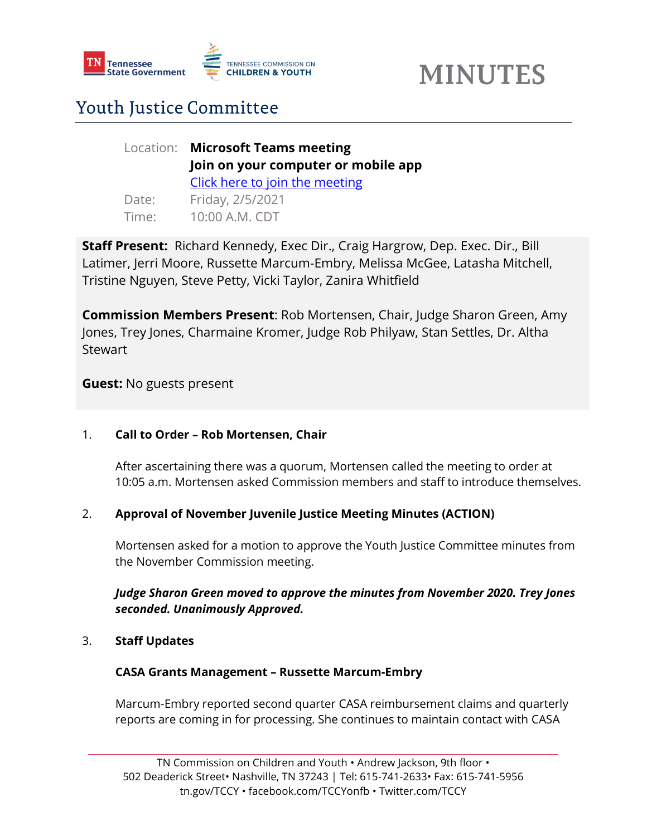

# **MINUTES**

### Youth Justice Committee

|       | Location: Microsoft Teams meeting   |
|-------|-------------------------------------|
|       | Join on your computer or mobile app |
|       | Click here to join the meeting      |
| Date: | Friday, 2/5/2021                    |
| Time: | 10:00 A.M. CDT                      |

**Staff Present:** Richard Kennedy, Exec Dir., Craig Hargrow, Dep. Exec. Dir., Bill Latimer, Jerri Moore, Russette Marcum-Embry, Melissa McGee, Latasha Mitchell, Tristine Nguyen, Steve Petty, Vicki Taylor, Zanira Whitfield

**Commission Members Present**: Rob Mortensen, Chair, Judge Sharon Green, Amy Jones, Trey Jones, Charmaine Kromer, Judge Rob Philyaw, Stan Settles, Dr. Altha **Stewart** 

**Guest:** No guests present

#### 1. **Call to Order – Rob Mortensen, Chair**

After ascertaining there was a quorum, Mortensen called the meeting to order at 10:05 a.m. Mortensen asked Commission members and staff to introduce themselves.

#### 2. **Approval of November Juvenile Justice Meeting Minutes (ACTION)**

Mortensen asked for a motion to approve the Youth Justice Committee minutes from the November Commission meeting.

#### *Judge Sharon Green moved to approve the minutes from November 2020. Trey Jones seconded. Unanimously Approved.*

#### 3. **Staff Updates**

#### **CASA Grants Management – Russette Marcum-Embry**

Marcum-Embry reported second quarter CASA reimbursement claims and quarterly reports are coming in for processing. She continues to maintain contact with CASA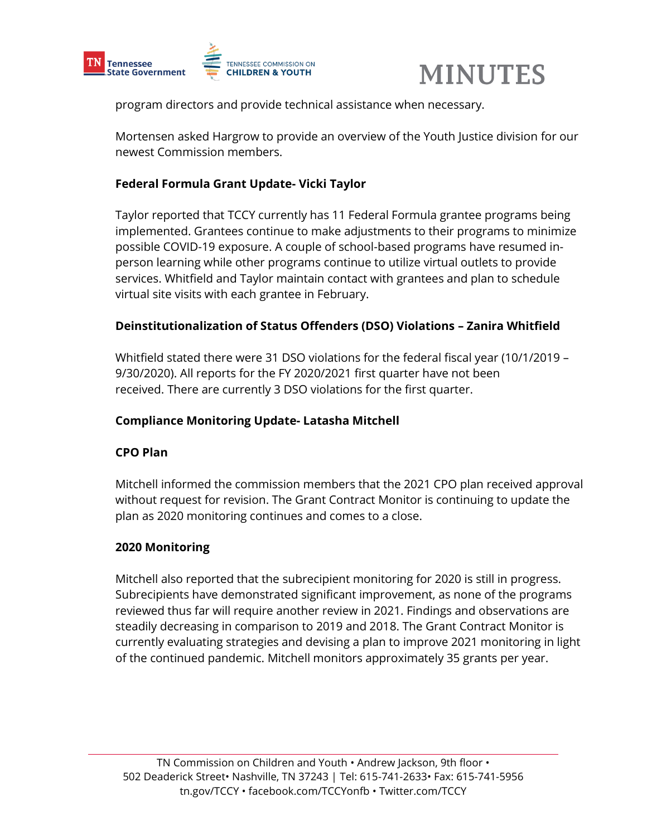

## **MINUTES**

program directors and provide technical assistance when necessary.

Mortensen asked Hargrow to provide an overview of the Youth Justice division for our newest Commission members.

#### **Federal Formula Grant Update- Vicki Taylor**

Taylor reported that TCCY currently has 11 Federal Formula grantee programs being implemented. Grantees continue to make adjustments to their programs to minimize possible COVID-19 exposure. A couple of school-based programs have resumed inperson learning while other programs continue to utilize virtual outlets to provide services. Whitfield and Taylor maintain contact with grantees and plan to schedule virtual site visits with each grantee in February.

#### **Deinstitutionalization of Status Offenders (DSO) Violations – Zanira Whitfield**

Whitfield stated there were 31 DSO violations for the federal fiscal year (10/1/2019 – 9/30/2020). All reports for the FY 2020/2021 first quarter have not been received. There are currently 3 DSO violations for the first quarter.

#### **Compliance Monitoring Update- Latasha Mitchell**

#### **CPO Plan**

Mitchell informed the commission members that the 2021 CPO plan received approval without request for revision. The Grant Contract Monitor is continuing to update the plan as 2020 monitoring continues and comes to a close.

#### **2020 Monitoring**

Mitchell also reported that the subrecipient monitoring for 2020 is still in progress. Subrecipients have demonstrated significant improvement, as none of the programs reviewed thus far will require another review in 2021. Findings and observations are steadily decreasing in comparison to 2019 and 2018. The Grant Contract Monitor is currently evaluating strategies and devising a plan to improve 2021 monitoring in light of the continued pandemic. Mitchell monitors approximately 35 grants per year.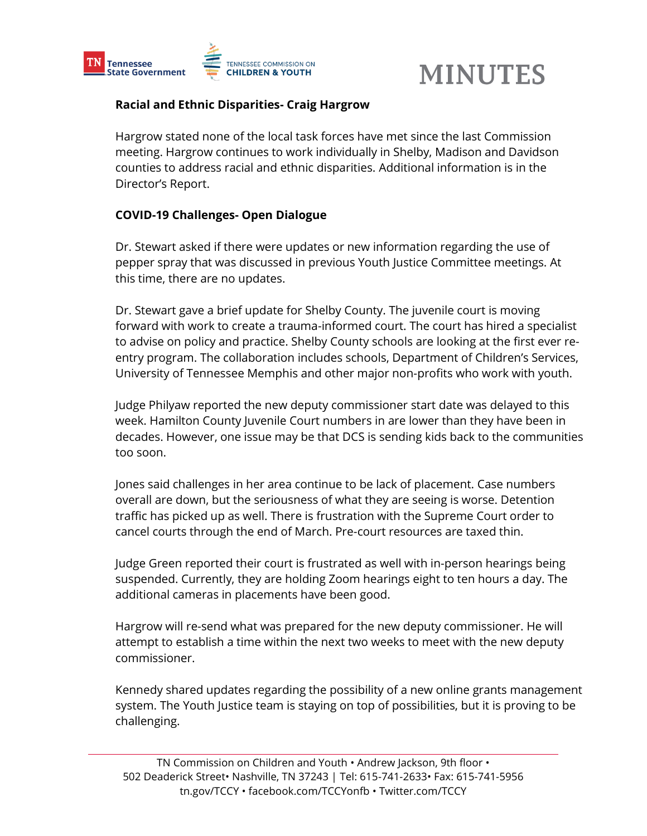

## **MINUTES**

#### **Racial and Ethnic Disparities- Craig Hargrow**

Hargrow stated none of the local task forces have met since the last Commission meeting. Hargrow continues to work individually in Shelby, Madison and Davidson counties to address racial and ethnic disparities. Additional information is in the Director's Report.

#### **COVID-19 Challenges- Open Dialogue**

Dr. Stewart asked if there were updates or new information regarding the use of pepper spray that was discussed in previous Youth Justice Committee meetings. At this time, there are no updates.

Dr. Stewart gave a brief update for Shelby County. The juvenile court is moving forward with work to create a trauma-informed court. The court has hired a specialist to advise on policy and practice. Shelby County schools are looking at the first ever reentry program. The collaboration includes schools, Department of Children's Services, University of Tennessee Memphis and other major non-profits who work with youth.

Judge Philyaw reported the new deputy commissioner start date was delayed to this week. Hamilton County Juvenile Court numbers in are lower than they have been in decades. However, one issue may be that DCS is sending kids back to the communities too soon.

Jones said challenges in her area continue to be lack of placement. Case numbers overall are down, but the seriousness of what they are seeing is worse. Detention traffic has picked up as well. There is frustration with the Supreme Court order to cancel courts through the end of March. Pre-court resources are taxed thin.

Judge Green reported their court is frustrated as well with in-person hearings being suspended. Currently, they are holding Zoom hearings eight to ten hours a day. The additional cameras in placements have been good.

Hargrow will re-send what was prepared for the new deputy commissioner. He will attempt to establish a time within the next two weeks to meet with the new deputy commissioner.

Kennedy shared updates regarding the possibility of a new online grants management system. The Youth Justice team is staying on top of possibilities, but it is proving to be challenging.